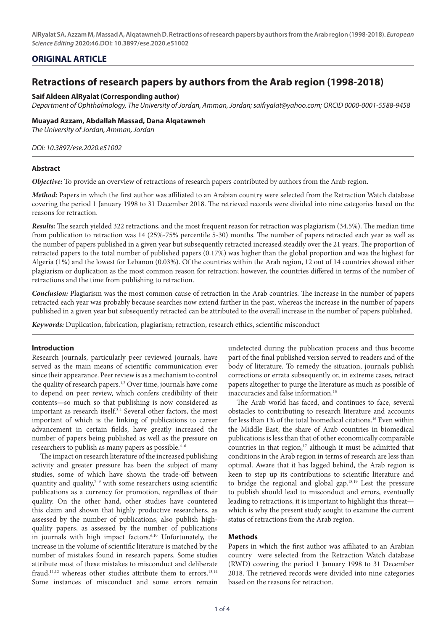## **ORIGINAL ARTICLE**

# **Retractions of research papers by authors from the Arab region (1998-2018)**

## **Saif Aldeen AlRyalat (Corresponding author)**

*Department of Ophthalmology, The University of Jordan, Amman, Jordan; [saifryalat@yahoo.com;](mailto:saifryalat@yahoo.com) ORCID [0000-0001-5588-9458](https://orcid.org/0000-0001-5588-9458)*

## **Muayad Azzam, Abdallah Massad, Dana Alqatawneh**

*The University of Jordan, Amman, Jordan* 

## *DOI: 10.3897/ese.2020.e51002*

## **Abstract**

*Objective:* To provide an overview of retractions of research papers contributed by authors from the Arab region.

*Method: Papers in which the first author was affiliated to an Arabian country were selected from the Retraction Watch database* covering the period 1 January 1998 to 31 December 2018. The retrieved records were divided into nine categories based on the reasons for retraction.

*Results:* The search yielded 322 retractions, and the most frequent reason for retraction was plagiarism (34.5%). The median time from publication to retraction was 14 (25%-75% percentile 5-30) months. The number of papers retracted each year as well as the number of papers published in a given year but subsequently retracted increased steadily over the 21 years. The proportion of retracted papers to the total number of published papers (0.17%) was higher than the global proportion and was the highest for Algeria (1%) and the lowest for Lebanon (0.03%). Of the countries within the Arab region, 12 out of 14 countries showed either plagiarism or duplication as the most common reason for retraction; however, the countries differed in terms of the number of retractions and the time from publishing to retraction.

*Conclusion:* Plagiarism was the most common cause of retraction in the Arab countries. The increase in the number of papers retracted each year was probably because searches now extend farther in the past, whereas the increase in the number of papers published in a given year but subsequently retracted can be attributed to the overall increase in the number of papers published.

*Keywords:* Duplication, fabrication, plagiarism; retraction, research ethics, scientific misconduct

## **Introduction**

Research journals, particularly peer reviewed journals, have served as the main means of scientific communication ever since their appearance. Peer review is as a mechanism to control the quality of research papers.1,2 Over time, journals have come to depend on peer review, which confers credibility of their contents—so much so that publishing is now considered as important as research itself.<sup>3,4</sup> Several other factors, the most important of which is the linking of publications to career advancement in certain fields, have greatly increased the number of papers being published as well as the pressure on researchers to publish as many papers as possible.<sup>4-6</sup>

The impact on research literature of the increased publishing activity and greater pressure has been the subject of many studies, some of which have shown the trade-off between quantity and quality, $7-9$  with some researchers using scientific publications as a currency for promotion, regardless of their quality. On the other hand, other studies have countered this claim and shown that highly productive researchers, as assessed by the number of publications, also publish highquality papers, as assessed by the number of publications in journals with high impact factors.6,10 Unfortunately, the increase in the volume of scientific literature is matched by the number of mistakes found in research papers. Some studies attribute most of these mistakes to misconduct and deliberate fraud, $11,12$  whereas other studies attribute them to errors. $13,14$ Some instances of misconduct and some errors remain

undetected during the publication process and thus become part of the final published version served to readers and of the body of literature. To remedy the situation, journals publish corrections or errata subsequently or, in extreme cases, retract papers altogether to purge the literature as much as possible of inaccuracies and false information.15

The Arab world has faced, and continues to face, several obstacles to contributing to research literature and accounts for less than 1% of the total biomedical citations.<sup>16</sup> Even within the Middle East, the share of Arab countries in biomedical publications is less than that of other economically comparable countries in that region, $17$  although it must be admitted that conditions in the Arab region in terms of research are less than optimal. Aware that it has lagged behind, the Arab region is keen to step up its contributions to scientific literature and to bridge the regional and global gap.18,19 Lest the pressure to publish should lead to misconduct and errors, eventually leading to retractions, it is important to highlight this threat which is why the present study sought to examine the current status of retractions from the Arab region.

## **Methods**

Papers in which the first author was affiliated to an Arabian country were selected from the Retraction Watch database (RWD) covering the period 1 January 1998 to 31 December 2018. The retrieved records were divided into nine categories based on the reasons for retraction.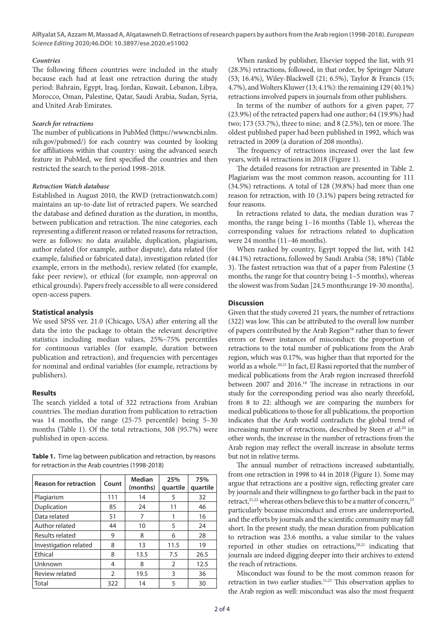## *Countries*

The following fifteen countries were included in the study because each had at least one retraction during the study period: Bahrain, Egypt, Iraq, Jordan, Kuwait, Lebanon, Libya, Morocco, Oman, Palestine, Qatar, Saudi Arabia, Sudan, Syria, and United Arab Emirates.

## *Search for retractions*

The number of publications in PubMed [\(https://www.ncbi.nlm.](https://www.ncbi.nlm.nih.gov/pubmed/) [nih.gov/pubmed/](https://www.ncbi.nlm.nih.gov/pubmed/)) for each country was counted by looking for affiliations within that country: using the advanced search feature in PubMed, we first specified the countries and then restricted the search to the period 1998–2018.

#### *Retraction Watch database*

Established in August 2010, the RWD (retractionwatch.com) maintains an up-to-date list of retracted papers. We searched the database and defined duration as the duration, in months, between publication and retraction. The nine categories, each representing a different reason or related reasons for retraction, were as follows: no data available, duplication, plagiarism, author related (for example, author dispute), data related (for example, falsified or fabricated data), investigation related (for example, errors in the methods), review related (for example, fake peer review), or ethical (for example, non-approval on ethical grounds). Papers freely accessible to all were considered open-access papers.

#### **Statistical analysis**

We used SPSS ver. 21.0 (Chicago, USA) after entering all the data the into the package to obtain the relevant descriptive statistics including median values, 25%–75% percentiles for continuous variables (for example, duration between publication and retraction), and frequencies with percentages for nominal and ordinal variables (for example, retractions by publishers).

#### **Results**

The search yielded a total of 322 retractions from Arabian countries. The median duration from publication to retraction was 14 months, the range (25-75 percentile) being 5–30 months (Table 1). Of the total retractions, 308 (95.7%) were published in open-access.

**Table 1.** Time lag between publication and retraction, by reasons for retraction in the Arab countries (1998-2018)

| <b>Reason for retraction</b> | Count | Median<br>(months) | 25%<br>quartile | 75%<br>quartile |
|------------------------------|-------|--------------------|-----------------|-----------------|
| Plagiarism                   | 111   | 14                 | 5               | 32              |
| Duplication                  | 85    | 24                 | 11              | 46              |
| Data related                 | 51    | 7                  |                 | 16              |
| Author related               | 44    | 10                 | 5               | 24              |
| Results related              | 9     | 8                  | 6               | 28              |
| Investigation related        | 8     | 13                 | 11.5            | 19              |
| Ethical                      | 8     | 13.5               | 7.5             | 26.5            |
| Unknown                      | 4     | 8                  | 2               | 12.5            |
| Review related               | 2     | 19.5               | 3               | 36              |
| Total                        | 322   | 14                 | 5               | 30              |

When ranked by publisher, Elsevier topped the list, with 91 (28.3%) retractions, followed, in that order, by Springer Nature (53; 16.4%), Wiley-Blackwell (21; 6.5%), Taylor & Francis (15; 4.7%), and Wolters Kluwer (13; 4.1%): the remaining 129 (40.1%) retractions involved papers in journals from other publishers.

In terms of the number of authors for a given paper, 77 (23.9%) of the retracted papers had one author; 64 (19.9%) had two; 173 (53.7%), three to nine; and 8 (2.5%), ten or more. The oldest published paper had been published in 1992, which was retracted in 2009 (a duration of 208 months).

The frequency of retractions increased over the last few years, with 44 retractions in 2018 (Figure 1).

The detailed reasons for retraction are presented in Table 2. Plagiarism was the most common reason, accounting for 111 (34.5%) retractions. A total of 128 (39.8%) had more than one reason for retraction, with 10 (3.1%) papers being retracted for four reasons.

In retractions related to data, the median duration was 7 months, the range being 1–16 months (Table 1), whereas the corresponding values for retractions related to duplication were 24 months (11–46 months).

When ranked by country, Egypt topped the list, with 142 (44.1%) retractions, followed by Saudi Arabia (58; 18%) (Table 3). The fastest retraction was that of a paper from Palestine (3 months, the range for that country being 1–5 months), whereas the slowest was from Sudan [24.5 months;range 19-30 months].

#### **Discussion**

Given that the study covered 21 years, the number of retractions (322) was low. This can be attributed to the overall low number of papers contributed by the Arab Region<sup>16</sup> rather than to fewer errors or fewer instances of misconduct: the proportion of retractions to the total number of publications from the Arab region, which was 0.17%, was higher than that reported for the world as a whole.<sup>20,21</sup> In fact, El Rassi reported that the number of medical publications from the Arab region increased threefold between 2007 and 2016.18 The increase in retractions in our study for the corresponding period was also nearly threefold, from 8 to 22: although we are comparing the numbers for medical publications to those for all publications, the proportion indicates that the Arab world contradicts the global trend of increasing number of retractions, described by Steen *et al*: 20 in other words, the increase in the number of retractions from the Arab region may reflect the overall increase in absolute terms but not in relative terms.

The annual number of retractions increased substantially, from one retraction in 1998 to 44 in 2018 (Figure 1). Some may argue that retractions are a positive sign, reflecting greater care by journals and their willingness to go farther back in the past to retract,<sup>21,22</sup> whereas others believe this to be a matter of concern,<sup>23</sup> particularly because misconduct and errors are underreported, and the efforts by journals and the scientific community may fall short. In the present study, the mean duration from publication to retraction was 23.6 months, a value similar to the values reported in other studies on retractions,<sup>20,21</sup> indicating that journals are indeed digging deeper into their archives to extend the reach of retractions.

Misconduct was found to be the most common reason for retraction in two earlier studies.<sup>11,21</sup> This observation applies to the Arab region as well: misconduct was also the most frequent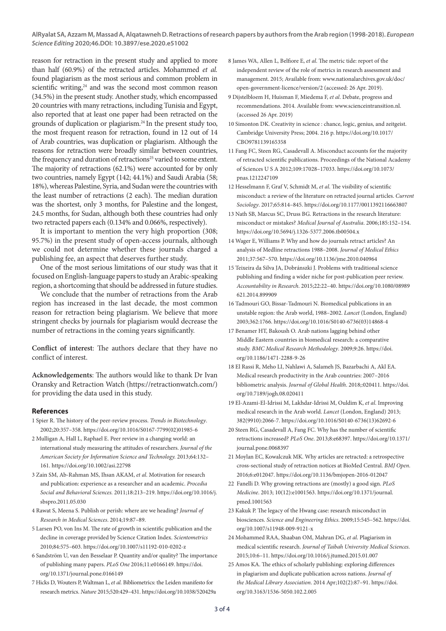reason for retraction in the present study and applied to more than half (60.9%) of the retracted articles. Mohammed *et al.*  found plagiarism as the most serious and common problem in scientific writing,<sup>24</sup> and was the second most common reason (34.5%) in the present study. Another study, which encompassed 20 countries with many retractions, including Tunisia and Egypt, also reported that at least one paper had been retracted on the grounds of duplication or plagiarism.24 In the present study too, the most frequent reason for retraction, found in 12 out of 14 of Arab countries, was duplication or plagiarism. Although the reasons for retraction were broadly similar between countries, the frequency and duration of retractions<sup>25</sup> varied to some extent. The majority of retractions (62.1%) were accounted for by only two countries, namely Egypt (142; 44.1%) and Saudi Arabia (58; 18%), whereas Palestine, Syria, and Sudan were the countries with the least number of retractions (2 each). The median duration was the shortest, only 3 months, for Palestine and the longest, 24.5 months, for Sudan, although both these countries had only two retracted papers each (0.134% and 0.066%, respectively).

It is important to mention the very high proportion (308; 95.7%) in the present study of open-access journals, although we could not determine whether these journals charged a publishing fee, an aspect that deserves further study.

One of the most serious limitations of our study was that it focused on English-language papers to study an Arabic-speaking region, a shortcoming that should be addressed in future studies.

We conclude that the number of retractions from the Arab region has increased in the last decade, the most common reason for retraction being plagiarism. We believe that more stringent checks by journals for plagiarism would decrease the number of retractions in the coming years significantly.

**Conflict of interest**: The authors declare that they have no conflict of interest.

**Acknowledgements**: The authors would like to thank Dr Ivan Oransky and Retraction Watch [\(https://retractionwatch.com/](https://retractionwatch.com/)) for providing the data used in this study.

#### **References**

- 1 Spier R. The history of the peer-review process. *Trends in Biotechnology*. 2002;20:357–358. [https://doi.org/10.1016/S0167-7799\(02\)01985-6](https://doi.org/10.1016/S0167-7799(02)01985-6)
- 2 Mulligan A, Hall L, Raphael E. Peer review in a changing world: an international study measuring the attitudes of researchers. *Journal of the American Society for Information Science and Technology.* 2013;64:132– 161.<https://doi.org/10.1002/asi.22798>
- 3 Zain SM, Ab-Rahman MS, Ihsan AKAM, *et al*. Motivation for research and publication: experience as a researcher and an academic. *Procedia Social and Behavioral Sciences.* 2011;18:213–219. [https://doi.org/10.1016/j.](https://doi.org/10.1016/j.sbspro.2011.05.030 ) [sbspro.2011.05.030](https://doi.org/10.1016/j.sbspro.2011.05.030 )
- 4 Rawat S, Meena S. Publish or perish: where are we heading? *Journal of Research in Medical Sciences*. 2014;19:87–89.
- 5 Larsen PO, von Ins M. The rate of growth in scientific publication and the decline in coverage provided by Science Citation Index. *Scientometrics* 2010;84:575–603. [https://doi.org/10.1007/s11192-010-0202-z](https://doi.org/10.1007/s11192-010-0202-z )
- 6 Sandström U, van den Besselaar P. Quantity and/or quality? The importance of publishing many papers. *PLoS One* 2016;11:e0166149. [https://doi.](https://doi.org/10.1371/journal.pone.0166149 ) [org/10.1371/journal.pone.0166149](https://doi.org/10.1371/journal.pone.0166149 )
- 7 Hicks D, Wouters P, Waltman L, *et al.* Bibliometrics: the Leiden manifesto for research metrics. *Nature* 2015;520:429–431. https://doi.org/10.1038/520429a
- 8 James WA, Allen L, Belfiore E, *et al*. The metric tide: report of the independent review of the role of metrics in research assessment and management. 2015; Available from: [www.nationalarchives.gov.uk/doc/](www.nationalarchives.gov.uk/doc/open-government-licence/version/2) [open-government-licence/version/2](www.nationalarchives.gov.uk/doc/open-government-licence/version/2) (accessed: 26 Apr. 2019).
- 9 Dijstelbloem H, Huisman F, Miedema F, *et al*. Debate, progress and recommendations. 2014. Available from: [www.scienceintransition.nl.](http://www.scienceintransition.nl) (accessed 26 Apr. 2019)
- 10 Simonton DK. Creativity in science : chance, logic, genius, and zeitgeist. Cambridge University Press; 2004. 216 p. https://doi.org/10.1017/ CBO9781139165358
- 11 Fang FC, Steen RG, Casadevall A. Misconduct accounts for the majority of retracted scientific publications. Proceedings of the National Academy of Sciences U S A 2012;109:17028–17033. https://doi.org/10.1073/ pnas.1212247109
- 12 Hesselmann F, Graf V, Schmidt M, *et al*. The visibility of scientific misconduct: a review of the literature on retracted journal articles. *Current Sociology*. 2017;65:814–845. https://doi.org/10.1177/0011392116663807
- 13 Nath SB, Marcus SC, Druss BG. Retractions in the research literature: misconduct or mistakes? *Medical Journal of Australia*. 2006;185:152–154. https://doi.org/10.5694/j.1326-5377.2006.tb00504.x
- 14 Wager E, Williams P. Why and how do journals retract articles? An analysis of Medline retractions 1988–2008. *Journal of Medical Ethics* 2011;37:567–570. https://doi.org/10.1136/jme.2010.040964
- 15 Teixeira da Silva JA, Dobránszki J. Problems with traditional science publishing and finding a wider niche for post-publication peer review. *Accountability in Research*. 2015;22:22–40. https://doi.org/10.1080/08989 621.2014.899909
- 16 Tadmouri GO, Bissar-Tadmouri N. Biomedical publications in an unstable region: the Arab world, 1988–2002. *Lancet* (London, England) 2003;362:1766. [https://doi.org/10.1016/S0140-6736\(03\)14868-4](https://doi.org/10.1016/S0140-6736(03)14868-4)
- 17 Benamer HT, Bakoush O. Arab nations lagging behind other Middle Eastern countries in biomedical research: a comparative study. *BMC Medical Research Methodology*. 2009;9:26. https://doi. org/10.1186/1471-2288-9-26
- 18 El Rassi R, Meho LI, Nahlawi A, Salameh JS, Bazarbachi A, Akl EA. Medical research productivity in the Arab countries: 2007–2016 bibliometric analysis. *Journal of Global Health*. 2018;:020411. https://doi. org/10.7189/jogh.08.020411
- 19 El-Azami-El-Idrissi M, Lakhdar-Idrissi M, Ouldim K, *et al*. Improving medical research in the Arab world. *Lancet* (London, England) 2013; 382(9910):2066-7. [https://doi.org/10.1016/S0140-6736\(13\)62692-6](https://doi.org/10.1016/S0140-6736(13)62692-6)
- 20 Steen RG, Casadevall A, Fang FC. Why has the number of scientific retractions increased? *PLoS One*. 2013;8:e68397. https://doi.org/10.1371/ journal.pone.0068397
- 21 Moylan EC, Kowalczuk MK. Why articles are retracted: a retrospective cross-sectional study of retraction notices at BioMed Central. *BMJ Open*. 2016;6:e012047. https://doi.org/10.1136/bmjopen-2016-012047
- 22 Fanelli D. Why growing retractions are (mostly) a good sign. *PLoS Medicine*. 2013; 10(12):e1001563. https://doi.org/10.1371/journal. pmed.1001563
- 23 Kakuk P. The legacy of the Hwang case: research misconduct in biosciences. *Science and Engineering Ethics*. 2009;15:545–562. https://doi. org/10.1007/s11948-009-9121-x
- 24 Mohammed RAA, Shaaban OM, Mahran DG, *et al*. Plagiarism in medical scientific research. *Journal of Taibah University Medical Sciences*. 2015;10:6–11. https://doi.org/10.1016/j.jtumed.2015.01.007
- 25 Amos KA. The ethics of scholarly publishing: exploring differences in plagiarism and duplicate publication across nations. *Journal of the Medical Library Association*. 2014 Apr;102(2):87–91. [https://doi.](https://doi.org/10.3163/1536-5050.102.2.005) [org/10.3163/1536-5050.102.2.005](https://doi.org/10.3163/1536-5050.102.2.005)